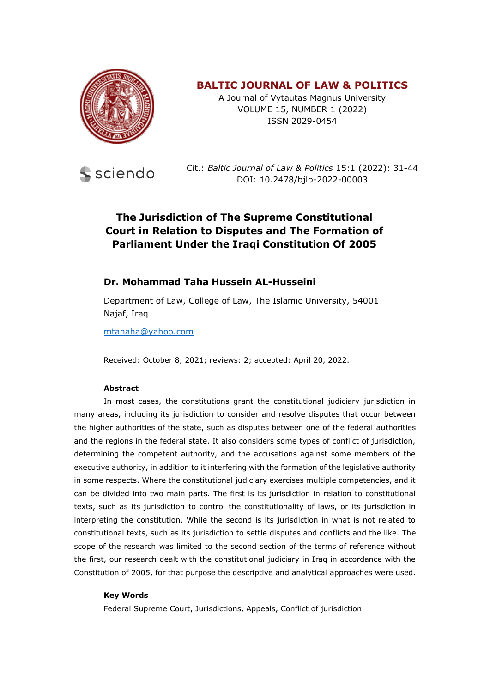

## **BALTIC JOURNAL OF LAW & POLITICS**

A Journal of Vytautas Magnus University VOLUME 15, NUMBER 1 (2022) ISSN 2029-0454



Cit.: *Baltic Journal of Law & Politics* 15:1 (2022): 31-44 DOI: 10.2478/bjlp-2022-00003

# **The Jurisdiction of The Supreme Constitutional Court in Relation to Disputes and The Formation of Parliament Under the Iraqi Constitution Of 2005**

### **Dr. Mohammad Taha Hussein AL-Husseini**

Department of Law, College of Law, The Islamic University, 54001 Najaf, Iraq

[mtahaha@yahoo.com](mailto:mtahaha@yahoo.com)

Received: October 8, 2021; reviews: 2; accepted: April 20, 2022.

#### **Abstract**

In most cases, the constitutions grant the constitutional judiciary jurisdiction in many areas, including its jurisdiction to consider and resolve disputes that occur between the higher authorities of the state, such as disputes between one of the federal authorities and the regions in the federal state. It also considers some types of conflict of jurisdiction, determining the competent authority, and the accusations against some members of the executive authority, in addition to it interfering with the formation of the legislative authority in some respects. Where the constitutional judiciary exercises multiple competencies, and it can be divided into two main parts. The first is its jurisdiction in relation to constitutional texts, such as its jurisdiction to control the constitutionality of laws, or its jurisdiction in interpreting the constitution. While the second is its jurisdiction in what is not related to constitutional texts, such as its jurisdiction to settle disputes and conflicts and the like. The scope of the research was limited to the second section of the terms of reference without the first, our research dealt with the constitutional judiciary in Iraq in accordance with the Constitution of 2005, for that purpose the descriptive and analytical approaches were used.

#### **Key Words**

Federal Supreme Court, Jurisdictions, Appeals, Conflict of jurisdiction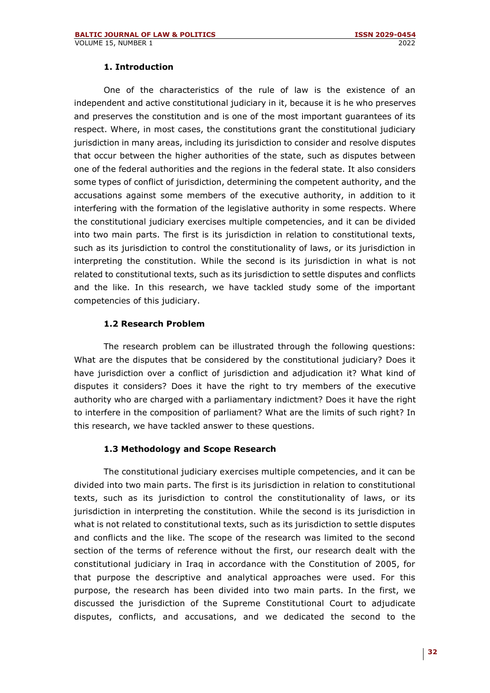#### **1. Introduction**

One of the characteristics of the rule of law is the existence of an independent and active constitutional judiciary in it, because it is he who preserves and preserves the constitution and is one of the most important guarantees of its respect. Where, in most cases, the constitutions grant the constitutional judiciary jurisdiction in many areas, including its jurisdiction to consider and resolve disputes that occur between the higher authorities of the state, such as disputes between one of the federal authorities and the regions in the federal state. It also considers some types of conflict of jurisdiction, determining the competent authority, and the accusations against some members of the executive authority, in addition to it interfering with the formation of the legislative authority in some respects. Where the constitutional judiciary exercises multiple competencies, and it can be divided into two main parts. The first is its jurisdiction in relation to constitutional texts, such as its jurisdiction to control the constitutionality of laws, or its jurisdiction in interpreting the constitution. While the second is its jurisdiction in what is not related to constitutional texts, such as its jurisdiction to settle disputes and conflicts and the like. In this research, we have tackled study some of the important competencies of this judiciary.

#### **1.2 Research Problem**

The research problem can be illustrated through the following questions: What are the disputes that be considered by the constitutional judiciary? Does it have jurisdiction over a conflict of jurisdiction and adjudication it? What kind of disputes it considers? Does it have the right to try members of the executive authority who are charged with a parliamentary indictment? Does it have the right to interfere in the composition of parliament? What are the limits of such right? In this research, we have tackled answer to these questions.

#### **1.3 Methodology and Scope Research**

The constitutional judiciary exercises multiple competencies, and it can be divided into two main parts. The first is its jurisdiction in relation to constitutional texts, such as its jurisdiction to control the constitutionality of laws, or its jurisdiction in interpreting the constitution. While the second is its jurisdiction in what is not related to constitutional texts, such as its jurisdiction to settle disputes and conflicts and the like. The scope of the research was limited to the second section of the terms of reference without the first, our research dealt with the constitutional judiciary in Iraq in accordance with the Constitution of 2005, for that purpose the descriptive and analytical approaches were used. For this purpose, the research has been divided into two main parts. In the first, we discussed the jurisdiction of the Supreme Constitutional Court to adjudicate disputes, conflicts, and accusations, and we dedicated the second to the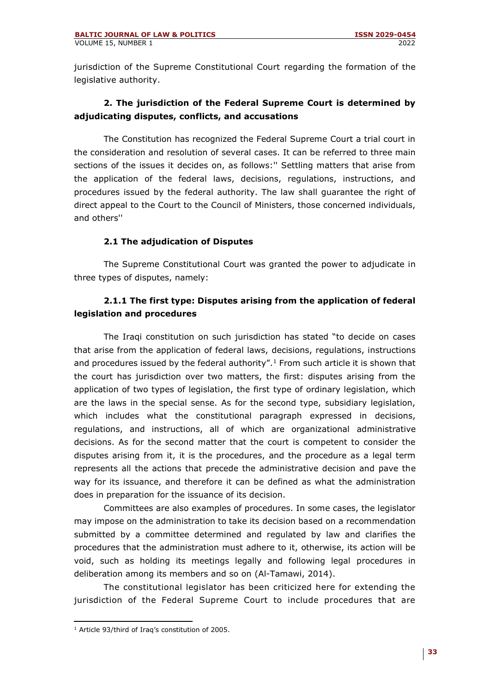jurisdiction of the Supreme Constitutional Court regarding the formation of the legislative authority.

## **2. The jurisdiction of the Federal Supreme Court is determined by adjudicating disputes, conflicts, and accusations**

The Constitution has recognized the Federal Supreme Court a trial court in the consideration and resolution of several cases. It can be referred to three main sections of the issues it decides on, as follows:'' Settling matters that arise from the application of the federal laws, decisions, regulations, instructions, and procedures issued by the federal authority. The law shall guarantee the right of direct appeal to the Court to the Council of Ministers, those concerned individuals, and others''

### **2.1 The adjudication of Disputes**

The Supreme Constitutional Court was granted the power to adjudicate in three types of disputes, namely:

## **2.1.1 The first type: Disputes arising from the application of federal legislation and procedures**

The Iraqi constitution on such jurisdiction has stated "to decide on cases that arise from the application of federal laws, decisions, regulations, instructions and procedures issued by the federal authority".<sup>1</sup> From such article it is shown that the court has jurisdiction over two matters, the first: disputes arising from the application of two types of legislation, the first type of ordinary legislation, which are the laws in the special sense. As for the second type, subsidiary legislation, which includes what the constitutional paragraph expressed in decisions, regulations, and instructions, all of which are organizational administrative decisions. As for the second matter that the court is competent to consider the disputes arising from it, it is the procedures, and the procedure as a legal term represents all the actions that precede the administrative decision and pave the way for its issuance, and therefore it can be defined as what the administration does in preparation for the issuance of its decision.

Committees are also examples of procedures. In some cases, the legislator may impose on the administration to take its decision based on a recommendation submitted by a committee determined and regulated by law and clarifies the procedures that the administration must adhere to it, otherwise, its action will be void, such as holding its meetings legally and following legal procedures in deliberation among its members and so on (Al-Tamawi, 2014).

The constitutional legislator has been criticized here for extending the jurisdiction of the Federal Supreme Court to include procedures that are

<sup>&</sup>lt;sup>1</sup> Article 93/third of Iraq's constitution of 2005.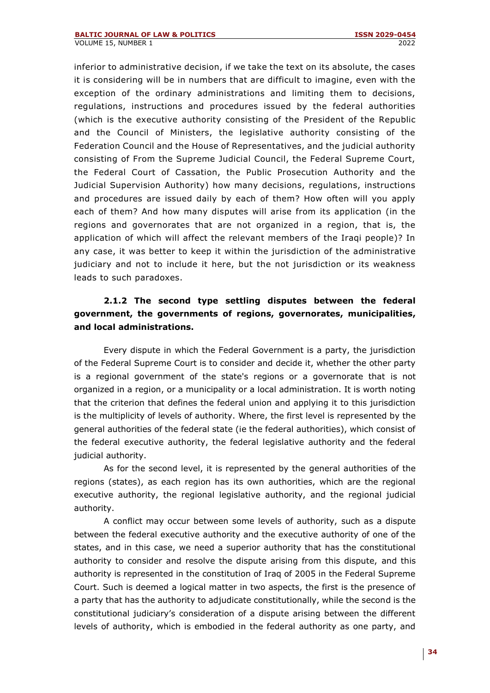inferior to administrative decision, if we take the text on its absolute, the cases it is considering will be in numbers that are difficult to imagine, even with the exception of the ordinary administrations and limiting them to decisions, regulations, instructions and procedures issued by the federal authorities (which is the executive authority consisting of the President of the Republic and the Council of Ministers, the legislative authority consisting of the Federation Council and the House of Representatives, and the judicial authority consisting of From the Supreme Judicial Council, the Federal Supreme Court, the Federal Court of Cassation, the Public Prosecution Authority and the Judicial Supervision Authority) how many decisions, regulations, instructions and procedures are issued daily by each of them? How often will you apply each of them? And how many disputes will arise from its application (in the regions and governorates that are not organized in a region, that is, the application of which will affect the relevant members of the Iraqi people)? In any case, it was better to keep it within the jurisdiction of the administrative judiciary and not to include it here, but the not jurisdiction or its weakness leads to such paradoxes.

## **2.1.2 The second type settling disputes between the federal government, the governments of regions, governorates, municipalities, and local administrations.**

Every dispute in which the Federal Government is a party, the jurisdiction of the Federal Supreme Court is to consider and decide it, whether the other party is a regional government of the state's regions or a governorate that is not organized in a region, or a municipality or a local administration. It is worth noting that the criterion that defines the federal union and applying it to this jurisdiction is the multiplicity of levels of authority. Where, the first level is represented by the general authorities of the federal state (ie the federal authorities), which consist of the federal executive authority, the federal legislative authority and the federal judicial authority.

As for the second level, it is represented by the general authorities of the regions (states), as each region has its own authorities, which are the regional executive authority, the regional legislative authority, and the regional judicial authority.

A conflict may occur between some levels of authority, such as a dispute between the federal executive authority and the executive authority of one of the states, and in this case, we need a superior authority that has the constitutional authority to consider and resolve the dispute arising from this dispute, and this authority is represented in the constitution of Iraq of 2005 in the Federal Supreme Court. Such is deemed a logical matter in two aspects, the first is the presence of a party that has the authority to adjudicate constitutionally, while the second is the constitutional judiciary's consideration of a dispute arising between the different levels of authority, which is embodied in the federal authority as one party, and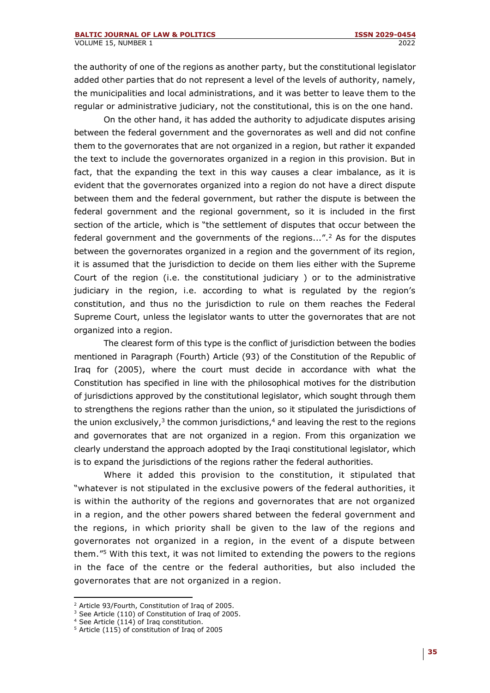the authority of one of the regions as another party, but the constitutional legislator added other parties that do not represent a level of the levels of authority, namely, the municipalities and local administrations, and it was better to leave them to the regular or administrative judiciary, not the constitutional, this is on the one hand.

On the other hand, it has added the authority to adjudicate disputes arising between the federal government and the governorates as well and did not confine them to the governorates that are not organized in a region, but rather it expanded the text to include the governorates organized in a region in this provision. But in fact, that the expanding the text in this way causes a clear imbalance, as it is evident that the governorates organized into a region do not have a direct dispute between them and the federal government, but rather the dispute is between the federal government and the regional government, so it is included in the first section of the article, which is "the settlement of disputes that occur between the federal government and the governments of the regions...".<sup>2</sup> As for the disputes between the governorates organized in a region and the government of its region, it is assumed that the jurisdiction to decide on them lies either with the Supreme Court of the region (i.e. the constitutional judiciary ) or to the administrative judiciary in the region, i.e. according to what is regulated by the region's constitution, and thus no the jurisdiction to rule on them reaches the Federal Supreme Court, unless the legislator wants to utter the governorates that are not organized into a region.

The clearest form of this type is the conflict of jurisdiction between the bodies mentioned in Paragraph (Fourth) Article (93) of the Constitution of the Republic of Iraq for (2005), where the court must decide in accordance with what the Constitution has specified in line with the philosophical motives for the distribution of jurisdictions approved by the constitutional legislator, which sought through them to strengthens the regions rather than the union, so it stipulated the jurisdictions of the union exclusively,<sup>3</sup> the common jurisdictions,<sup>4</sup> and leaving the rest to the regions and governorates that are not organized in a region. From this organization we clearly understand the approach adopted by the Iraqi constitutional legislator, which is to expand the jurisdictions of the regions rather the federal authorities.

Where it added this provision to the constitution, it stipulated that "whatever is not stipulated in the exclusive powers of the federal authorities, it is within the authority of the regions and governorates that are not organized in a region, and the other powers shared between the federal government and the regions, in which priority shall be given to the law of the regions and governorates not organized in a region, in the event of a dispute between them."<sup>5</sup> With this text, it was not limited to extending the powers to the regions in the face of the centre or the federal authorities, but also included the governorates that are not organized in a region.

<sup>2</sup> Article 93/Fourth, Constitution of Iraq of 2005.

<sup>&</sup>lt;sup>3</sup> See Article (110) of Constitution of Iraq of 2005.

<sup>4</sup> See Article (114) of Iraq constitution.

<sup>5</sup> Article (115) of constitution of Iraq of 2005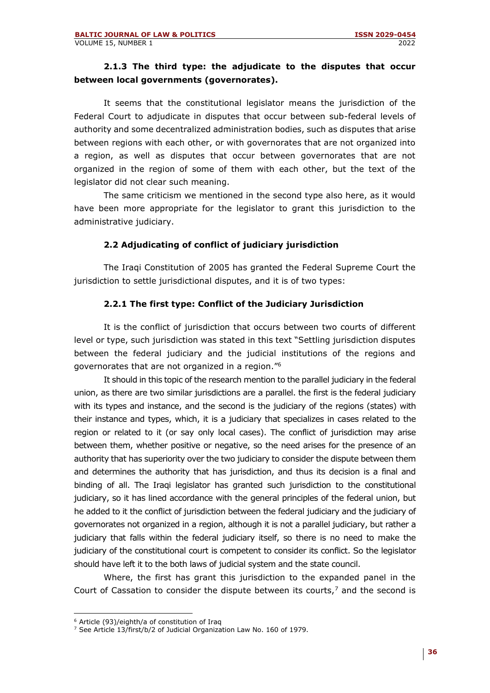### **2.1.3 The third type: the adjudicate to the disputes that occur between local governments (governorates).**

It seems that the constitutional legislator means the jurisdiction of the Federal Court to adjudicate in disputes that occur between sub-federal levels of authority and some decentralized administration bodies, such as disputes that arise between regions with each other, or with governorates that are not organized into a region, as well as disputes that occur between governorates that are not organized in the region of some of them with each other, but the text of the legislator did not clear such meaning.

The same criticism we mentioned in the second type also here, as it would have been more appropriate for the legislator to grant this jurisdiction to the administrative judiciary.

### **2.2 Adjudicating of conflict of judiciary jurisdiction**

The Iraqi Constitution of 2005 has granted the Federal Supreme Court the jurisdiction to settle jurisdictional disputes, and it is of two types:

### **2.2.1 The first type: Conflict of the Judiciary Jurisdiction**

It is the conflict of jurisdiction that occurs between two courts of different level or type, such jurisdiction was stated in this text "Settling jurisdiction disputes between the federal judiciary and the judicial institutions of the regions and governorates that are not organized in a region."<sup>6</sup>

It should in this topic of the research mention to the parallel judiciary in the federal union, as there are two similar jurisdictions are a parallel. the first is the federal judiciary with its types and instance, and the second is the judiciary of the regions (states) with their instance and types, which, it is a judiciary that specializes in cases related to the region or related to it (or say only local cases). The conflict of jurisdiction may arise between them, whether positive or negative, so the need arises for the presence of an authority that has superiority over the two judiciary to consider the dispute between them and determines the authority that has jurisdiction, and thus its decision is a final and binding of all. The Iraqi legislator has granted such jurisdiction to the constitutional judiciary, so it has lined accordance with the general principles of the federal union, but he added to it the conflict of jurisdiction between the federal judiciary and the judiciary of governorates not organized in a region, although it is not a parallel judiciary, but rather a judiciary that falls within the federal judiciary itself, so there is no need to make the judiciary of the constitutional court is competent to consider its conflict. So the legislator should have left it to the both laws of judicial system and the state council.

Where, the first has grant this jurisdiction to the expanded panel in the Court of Cassation to consider the dispute between its courts, $<sup>7</sup>$  and the second is</sup>

<sup>6</sup> Article (93)/eighth/a of constitution of Iraq

<sup>7</sup> See Article 13/first/b/2 of Judicial Organization Law No. 160 of 1979.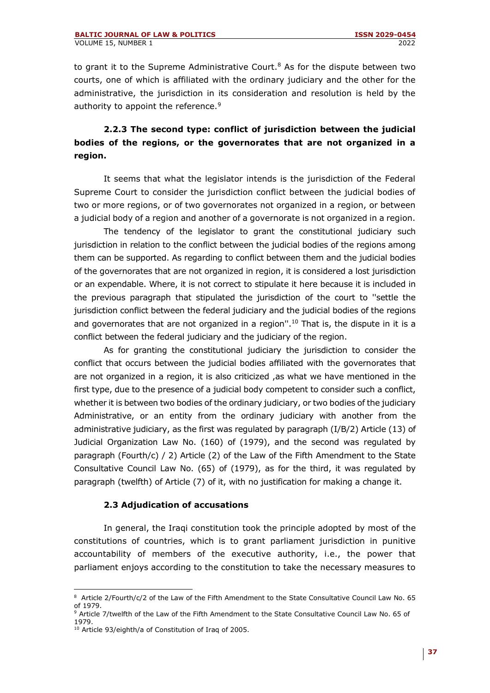to grant it to the Supreme Administrative Court.<sup>8</sup> As for the dispute between two courts, one of which is affiliated with the ordinary judiciary and the other for the administrative, the jurisdiction in its consideration and resolution is held by the authority to appoint the reference.<sup>9</sup>

# **2.2.3 The second type: conflict of jurisdiction between the judicial bodies of the regions, or the governorates that are not organized in a region.**

It seems that what the legislator intends is the jurisdiction of the Federal Supreme Court to consider the jurisdiction conflict between the judicial bodies of two or more regions, or of two governorates not organized in a region, or between a judicial body of a region and another of a governorate is not organized in a region.

The tendency of the legislator to grant the constitutional judiciary such jurisdiction in relation to the conflict between the judicial bodies of the regions among them can be supported. As regarding to conflict between them and the judicial bodies of the governorates that are not organized in region, it is considered a lost jurisdiction or an expendable. Where, it is not correct to stipulate it here because it is included in the previous paragraph that stipulated the jurisdiction of the court to ''settle the jurisdiction conflict between the federal judiciary and the judicial bodies of the regions and governorates that are not organized in a region".<sup>10</sup> That is, the dispute in it is a conflict between the federal judiciary and the judiciary of the region.

As for granting the constitutional judiciary the jurisdiction to consider the conflict that occurs between the judicial bodies affiliated with the governorates that are not organized in a region, it is also criticized ,as what we have mentioned in the first type, due to the presence of a judicial body competent to consider such a conflict, whether it is between two bodies of the ordinary judiciary, or two bodies of the judiciary Administrative, or an entity from the ordinary judiciary with another from the administrative judiciary, as the first was regulated by paragraph (I/B/2) Article (13) of Judicial Organization Law No. (160) of (1979), and the second was regulated by paragraph (Fourth/c) / 2) Article (2) of the Law of the Fifth Amendment to the State Consultative Council Law No. (65) of (1979), as for the third, it was regulated by paragraph (twelfth) of Article (7) of it, with no justification for making a change it.

#### **2.3 Adjudication of accusations**

In general, the Iraqi constitution took the principle adopted by most of the constitutions of countries, which is to grant parliament jurisdiction in punitive accountability of members of the executive authority, i.e., the power that parliament enjoys according to the constitution to take the necessary measures to

<sup>&</sup>lt;sup>8</sup> Article 2/Fourth/c/2 of the Law of the Fifth Amendment to the State Consultative Council Law No. 65 of 1979.

<sup>&</sup>lt;sup>9</sup> Article 7/twelfth of the Law of the Fifth Amendment to the State Consultative Council Law No. 65 of 1979.

<sup>10</sup> Article 93/eighth/a of Constitution of Iraq of 2005.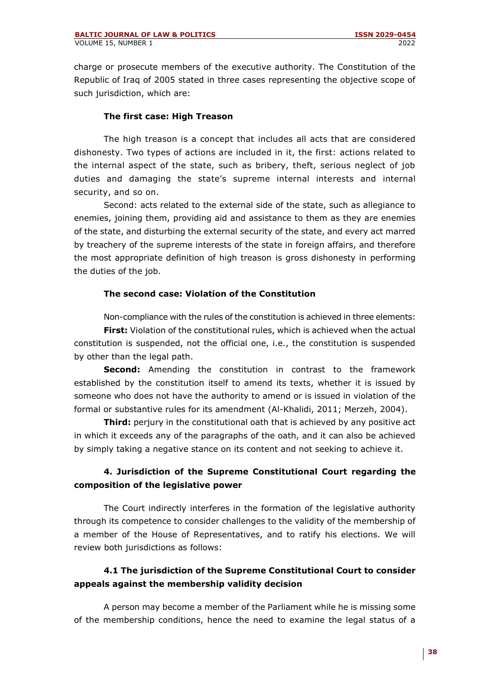charge or prosecute members of the executive authority. The Constitution of the Republic of Iraq of 2005 stated in three cases representing the objective scope of such jurisdiction, which are:

#### **The first case: High Treason**

The high treason is a concept that includes all acts that are considered dishonesty. Two types of actions are included in it, the first: actions related to the internal aspect of the state, such as bribery, theft, serious neglect of job duties and damaging the state's supreme internal interests and internal security, and so on.

Second: acts related to the external side of the state, such as allegiance to enemies, joining them, providing aid and assistance to them as they are enemies of the state, and disturbing the external security of the state, and every act marred by treachery of the supreme interests of the state in foreign affairs, and therefore the most appropriate definition of high treason is gross dishonesty in performing the duties of the job.

#### **The second case: Violation of the Constitution**

Non-compliance with the rules of the constitution is achieved in three elements:

**First:** Violation of the constitutional rules, which is achieved when the actual constitution is suspended, not the official one, i.e., the constitution is suspended by other than the legal path.

**Second:** Amending the constitution in contrast to the framework established by the constitution itself to amend its texts, whether it is issued by someone who does not have the authority to amend or is issued in violation of the formal or substantive rules for its amendment (Al-Khalidi, 2011; Merzeh, 2004).

**Third:** perjury in the constitutional oath that is achieved by any positive act in which it exceeds any of the paragraphs of the oath, and it can also be achieved by simply taking a negative stance on its content and not seeking to achieve it.

## **4. Jurisdiction of the Supreme Constitutional Court regarding the composition of the legislative power**

The Court indirectly interferes in the formation of the legislative authority through its competence to consider challenges to the validity of the membership of a member of the House of Representatives, and to ratify his elections. We will review both jurisdictions as follows:

## **4.1 The jurisdiction of the Supreme Constitutional Court to consider appeals against the membership validity decision**

A person may become a member of the Parliament while he is missing some of the membership conditions, hence the need to examine the legal status of a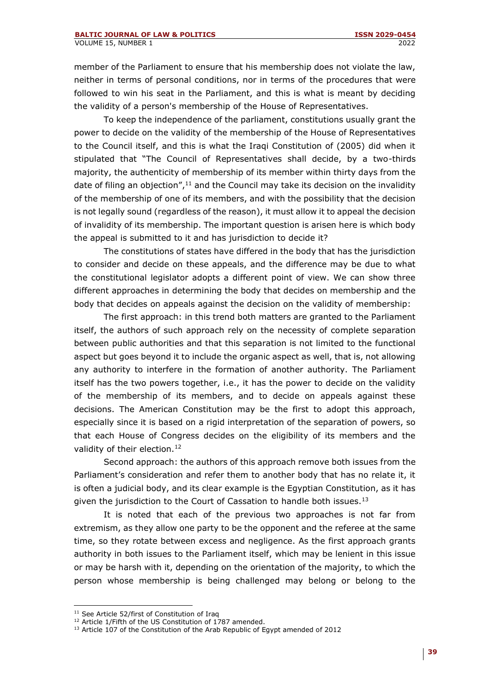member of the Parliament to ensure that his membership does not violate the law, neither in terms of personal conditions, nor in terms of the procedures that were followed to win his seat in the Parliament, and this is what is meant by deciding the validity of a person's membership of the House of Representatives.

To keep the independence of the parliament, constitutions usually grant the power to decide on the validity of the membership of the House of Representatives to the Council itself, and this is what the Iraqi Constitution of (2005) did when it stipulated that "The Council of Representatives shall decide, by a two-thirds majority, the authenticity of membership of its member within thirty days from the date of filing an objection", $11$  and the Council may take its decision on the invalidity of the membership of one of its members, and with the possibility that the decision is not legally sound (regardless of the reason), it must allow it to appeal the decision of invalidity of its membership. The important question is arisen here is which body the appeal is submitted to it and has jurisdiction to decide it?

The constitutions of states have differed in the body that has the jurisdiction to consider and decide on these appeals, and the difference may be due to what the constitutional legislator adopts a different point of view. We can show three different approaches in determining the body that decides on membership and the body that decides on appeals against the decision on the validity of membership:

The first approach: in this trend both matters are granted to the Parliament itself, the authors of such approach rely on the necessity of complete separation between public authorities and that this separation is not limited to the functional aspect but goes beyond it to include the organic aspect as well, that is, not allowing any authority to interfere in the formation of another authority. The Parliament itself has the two powers together, i.e., it has the power to decide on the validity of the membership of its members, and to decide on appeals against these decisions. The American Constitution may be the first to adopt this approach, especially since it is based on a rigid interpretation of the separation of powers, so that each House of Congress decides on the eligibility of its members and the validity of their election.<sup>12</sup>

Second approach: the authors of this approach remove both issues from the Parliament's consideration and refer them to another body that has no relate it, it is often a judicial body, and its clear example is the Egyptian Constitution, as it has given the jurisdiction to the Court of Cassation to handle both issues.<sup>13</sup>

It is noted that each of the previous two approaches is not far from extremism, as they allow one party to be the opponent and the referee at the same time, so they rotate between excess and negligence. As the first approach grants authority in both issues to the Parliament itself, which may be lenient in this issue or may be harsh with it, depending on the orientation of the majority, to which the person whose membership is being challenged may belong or belong to the

<sup>&</sup>lt;sup>11</sup> See Article 52/first of Constitution of Iraq

<sup>&</sup>lt;sup>12</sup> Article 1/Fifth of the US Constitution of 1787 amended.

<sup>&</sup>lt;sup>13</sup> Article 107 of the Constitution of the Arab Republic of Egypt amended of 2012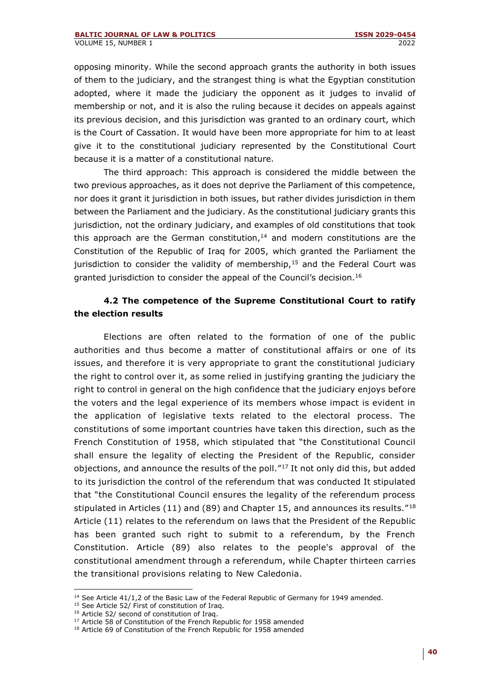opposing minority. While the second approach grants the authority in both issues of them to the judiciary, and the strangest thing is what the Egyptian constitution adopted, where it made the judiciary the opponent as it judges to invalid of membership or not, and it is also the ruling because it decides on appeals against its previous decision, and this jurisdiction was granted to an ordinary court, which is the Court of Cassation. It would have been more appropriate for him to at least give it to the constitutional judiciary represented by the Constitutional Court because it is a matter of a constitutional nature.

The third approach: This approach is considered the middle between the two previous approaches, as it does not deprive the Parliament of this competence, nor does it grant it jurisdiction in both issues, but rather divides jurisdiction in them between the Parliament and the judiciary. As the constitutional judiciary grants this jurisdiction, not the ordinary judiciary, and examples of old constitutions that took this approach are the German constitution, $14$  and modern constitutions are the Constitution of the Republic of Iraq for 2005, which granted the Parliament the jurisdiction to consider the validity of membership, $15$  and the Federal Court was granted jurisdiction to consider the appeal of the Council's decision.<sup>16</sup>

### **4.2 The competence of the Supreme Constitutional Court to ratify the election results**

Elections are often related to the formation of one of the public authorities and thus become a matter of constitutional affairs or one of its issues, and therefore it is very appropriate to grant the constitutional judiciary the right to control over it, as some relied in justifying granting the judiciary the right to control in general on the high confidence that the judiciary enjoys before the voters and the legal experience of its members whose impact is evident in the application of legislative texts related to the electoral process. The constitutions of some important countries have taken this direction, such as the French Constitution of 1958, which stipulated that "the Constitutional Council shall ensure the legality of electing the President of the Republic, consider objections, and announce the results of the poll."<sup>17</sup> It not only did this, but added to its jurisdiction the control of the referendum that was conducted It stipulated that "the Constitutional Council ensures the legality of the referendum process stipulated in Articles (11) and (89) and Chapter 15, and announces its results."<sup>18</sup> Article (11) relates to the referendum on laws that the President of the Republic has been granted such right to submit to a referendum, by the French Constitution. Article (89) also relates to the people's approval of the constitutional amendment through a referendum, while Chapter thirteen carries the transitional provisions relating to New Caledonia.

<sup>&</sup>lt;sup>14</sup> See Article 41/1,2 of the Basic Law of the Federal Republic of Germany for 1949 amended.

<sup>&</sup>lt;sup>15</sup> See Article 52/ First of constitution of Iraq.

<sup>&</sup>lt;sup>16</sup> Article 52/ second of constitution of Iraq.

<sup>&</sup>lt;sup>17</sup> Article 58 of Constitution of the French Republic for 1958 amended

<sup>&</sup>lt;sup>18</sup> Article 69 of Constitution of the French Republic for 1958 amended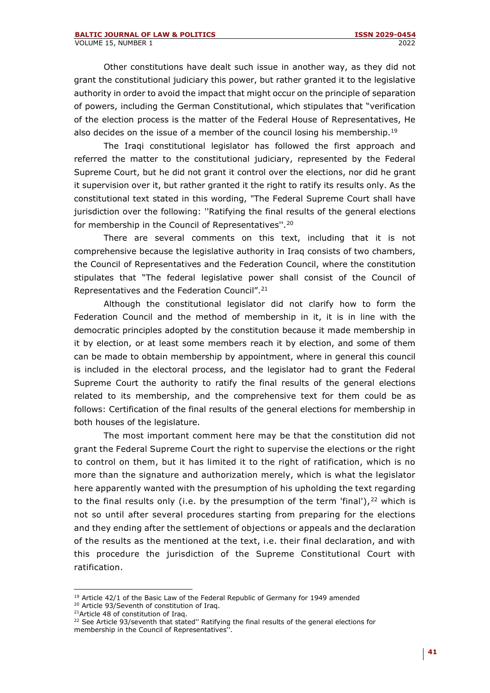Other constitutions have dealt such issue in another way, as they did not grant the constitutional judiciary this power, but rather granted it to the legislative authority in order to avoid the impact that might occur on the principle of separation of powers, including the German Constitutional, which stipulates that "verification of the election process is the matter of the Federal House of Representatives, He also decides on the issue of a member of the council losing his membership.<sup>19</sup>

The Iraqi constitutional legislator has followed the first approach and referred the matter to the constitutional judiciary, represented by the Federal Supreme Court, but he did not grant it control over the elections, nor did he grant it supervision over it, but rather granted it the right to ratify its results only. As the constitutional text stated in this wording, "The Federal Supreme Court shall have jurisdiction over the following: ''Ratifying the final results of the general elections for membership in the Council of Representatives''.<sup>20</sup>

There are several comments on this text, including that it is not comprehensive because the legislative authority in Iraq consists of two chambers, the Council of Representatives and the Federation Council, where the constitution stipulates that "The federal legislative power shall consist of the Council of Representatives and the Federation Council".<sup>21</sup>

Although the constitutional legislator did not clarify how to form the Federation Council and the method of membership in it, it is in line with the democratic principles adopted by the constitution because it made membership in it by election, or at least some members reach it by election, and some of them can be made to obtain membership by appointment, where in general this council is included in the electoral process, and the legislator had to grant the Federal Supreme Court the authority to ratify the final results of the general elections related to its membership, and the comprehensive text for them could be as follows: Certification of the final results of the general elections for membership in both houses of the legislature.

The most important comment here may be that the constitution did not grant the Federal Supreme Court the right to supervise the elections or the right to control on them, but it has limited it to the right of ratification, which is no more than the signature and authorization merely, which is what the legislator here apparently wanted with the presumption of his upholding the text regarding to the final results only (i.e. by the presumption of the term 'final'),  $22$  which is not so until after several procedures starting from preparing for the elections and they ending after the settlement of objections or appeals and the declaration of the results as the mentioned at the text, i.e. their final declaration, and with this procedure the jurisdiction of the Supreme Constitutional Court with ratification.

<sup>&</sup>lt;sup>19</sup> Article 42/1 of the Basic Law of the Federal Republic of Germany for 1949 amended <sup>20</sup> Article 93/Seventh of constitution of Iraq.

<sup>&</sup>lt;sup>21</sup>Article 48 of constitution of Iraq.

<sup>&</sup>lt;sup>22</sup> See Article 93/seventh that stated" Ratifying the final results of the general elections for membership in the Council of Representatives''.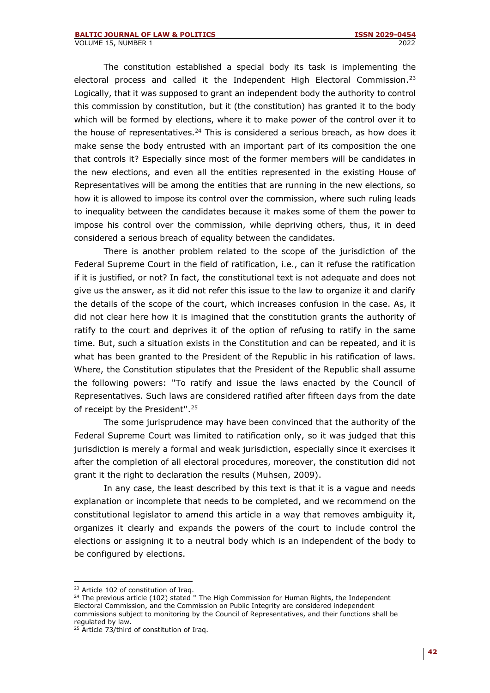The constitution established a special body its task is implementing the electoral process and called it the Independent High Electoral Commission.<sup>23</sup> Logically, that it was supposed to grant an independent body the authority to control this commission by constitution, but it (the constitution) has granted it to the body which will be formed by elections, where it to make power of the control over it to the house of representatives. $24$  This is considered a serious breach, as how does it make sense the body entrusted with an important part of its composition the one that controls it? Especially since most of the former members will be candidates in the new elections, and even all the entities represented in the existing House of Representatives will be among the entities that are running in the new elections, so how it is allowed to impose its control over the commission, where such ruling leads to inequality between the candidates because it makes some of them the power to impose his control over the commission, while depriving others, thus, it in deed considered a serious breach of equality between the candidates.

There is another problem related to the scope of the jurisdiction of the Federal Supreme Court in the field of ratification, i.e., can it refuse the ratification if it is justified, or not? In fact, the constitutional text is not adequate and does not give us the answer, as it did not refer this issue to the law to organize it and clarify the details of the scope of the court, which increases confusion in the case. As, it did not clear here how it is imagined that the constitution grants the authority of ratify to the court and deprives it of the option of refusing to ratify in the same time. But, such a situation exists in the Constitution and can be repeated, and it is what has been granted to the President of the Republic in his ratification of laws. Where, the Constitution stipulates that the President of the Republic shall assume the following powers: ''To ratify and issue the laws enacted by the Council of Representatives. Such laws are considered ratified after fifteen days from the date of receipt by the President''.<sup>25</sup>

The some jurisprudence may have been convinced that the authority of the Federal Supreme Court was limited to ratification only, so it was judged that this jurisdiction is merely a formal and weak jurisdiction, especially since it exercises it after the completion of all electoral procedures, moreover, the constitution did not grant it the right to declaration the results (Muhsen, 2009).

In any case, the least described by this text is that it is a vague and needs explanation or incomplete that needs to be completed, and we recommend on the constitutional legislator to amend this article in a way that removes ambiguity it, organizes it clearly and expands the powers of the court to include control the elections or assigning it to a neutral body which is an independent of the body to be configured by elections.

<sup>&</sup>lt;sup>23</sup> Article 102 of constitution of Iraq.

 $24$  The previous article (102) stated " The High Commission for Human Rights, the Independent Electoral Commission, and the Commission on Public Integrity are considered independent commissions subject to monitoring by the Council of Representatives, and their functions shall be regulated by law.

<sup>&</sup>lt;sup>25</sup> Article 73/third of constitution of Iraq.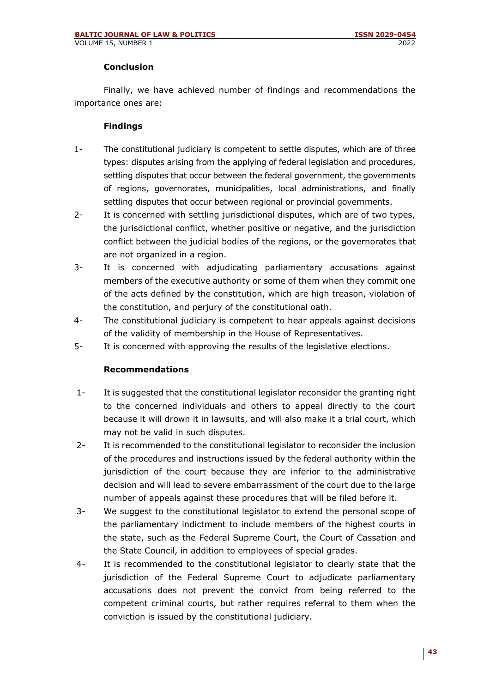### **Conclusion**

Finally, we have achieved number of findings and recommendations the importance ones are:

#### **Findings**

- 1- The constitutional judiciary is competent to settle disputes, which are of three types: disputes arising from the applying of federal legislation and procedures, settling disputes that occur between the federal government, the governments of regions, governorates, municipalities, local administrations, and finally settling disputes that occur between regional or provincial governments.
- 2- It is concerned with settling jurisdictional disputes, which are of two types, the jurisdictional conflict, whether positive or negative, and the jurisdiction conflict between the judicial bodies of the regions, or the governorates that are not organized in a region.
- 3- It is concerned with adjudicating parliamentary accusations against members of the executive authority or some of them when they commit one of the acts defined by the constitution, which are high treason, violation of the constitution, and perjury of the constitutional oath.
- 4- The constitutional judiciary is competent to hear appeals against decisions of the validity of membership in the House of Representatives.
- 5- It is concerned with approving the results of the legislative elections.

### **Recommendations**

- 1- It is suggested that the constitutional legislator reconsider the granting right to the concerned individuals and others to appeal directly to the court because it will drown it in lawsuits, and will also make it a trial court, which may not be valid in such disputes.
- 2- It is recommended to the constitutional legislator to reconsider the inclusion of the procedures and instructions issued by the federal authority within the jurisdiction of the court because they are inferior to the administrative decision and will lead to severe embarrassment of the court due to the large number of appeals against these procedures that will be filed before it.
- 3- We suggest to the constitutional legislator to extend the personal scope of the parliamentary indictment to include members of the highest courts in the state, such as the Federal Supreme Court, the Court of Cassation and the State Council, in addition to employees of special grades.
- 4- It is recommended to the constitutional legislator to clearly state that the jurisdiction of the Federal Supreme Court to adjudicate parliamentary accusations does not prevent the convict from being referred to the competent criminal courts, but rather requires referral to them when the conviction is issued by the constitutional judiciary.